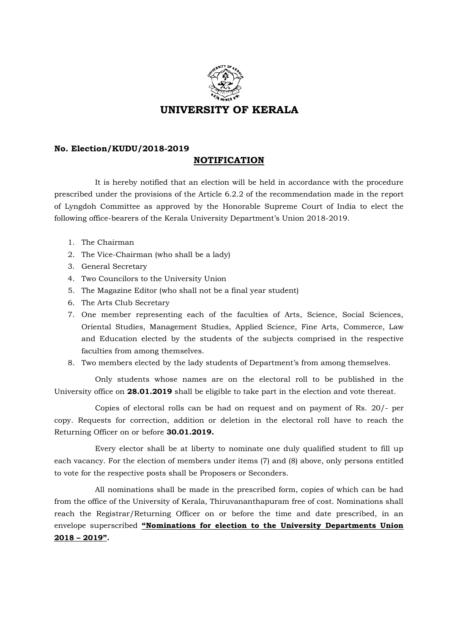

## **No. Election/KUDU/2018-2019**

## **NOTIFICATION**

It is hereby notified that an election will be held in accordance with the procedure prescribed under the provisions of the Article 6.2.2 of the recommendation made in the report of Lyngdoh Committee as approved by the Honorable Supreme Court of India to elect the following office-bearers of the Kerala University Department's Union 2018-2019.

- 1. The Chairman
- 2. The Vice-Chairman (who shall be a lady)
- 3. General Secretary
- 4. Two Councilors to the University Union
- 5. The Magazine Editor (who shall not be a final year student)
- 6. The Arts Club Secretary
- 7. One member representing each of the faculties of Arts, Science, Social Sciences, Oriental Studies, Management Studies, Applied Science, Fine Arts, Commerce, Law and Education elected by the students of the subjects comprised in the respective faculties from among themselves.
- 8. Two members elected by the lady students of Department's from among themselves.

Only students whose names are on the electoral roll to be published in the University office on **28.01.2019** shall be eligible to take part in the election and vote thereat.

Copies of electoral rolls can be had on request and on payment of Rs. 20/- per copy. Requests for correction, addition or deletion in the electoral roll have to reach the Returning Officer on or before **30.01.2019.**

Every elector shall be at liberty to nominate one duly qualified student to fill up each vacancy. For the election of members under items (7) and (8) above, only persons entitled to vote for the respective posts shall be Proposers or Seconders.

All nominations shall be made in the prescribed form, copies of which can be had from the office of the University of Kerala, Thiruvananthapuram free of cost. Nominations shall reach the Registrar/Returning Officer on or before the time and date prescribed, in an envelope superscribed **"Nominations for election to the University Departments Union 2018 – 2019".**